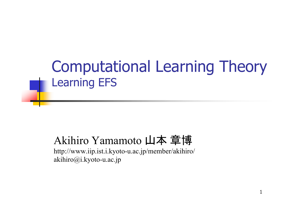## Computational Learning Theory Learning EFS

#### Akihiro Yamamoto 山本 章博

http://www.iip.ist.i.kyoto-u.ac.jp/member/akihiro/ akihiro@i.kyoto-u.ac.jp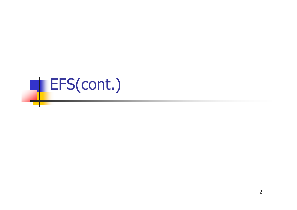# **EFS(cont.)**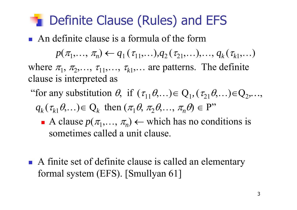#### **The Definite Clause (Rules) and EFS**

An definite clause is a formula of the form

 $p(\pi_1, \ldots, \pi_n) \leftarrow q_1(\tau_{11}, \ldots), q_2(\tau_{21}, \ldots), \ldots, q_k(\tau_{k1}, \ldots)$ 

where  $\pi_1$ ,  $\pi_2$ ,...,  $\tau_{11}$ ,...,  $\tau_{k1}$ ,... are patterns. The definite clause is interpreted as

- "for any substitution  $\theta$ , if  $(\tau_{11}\theta,...) \in Q_1$ ,  $(\tau_{21}\theta,...) \in Q_2,...$ 
	- $q_k(\tau_{k1}\theta,\ldots) \in Q_k$  then  $(\pi_1\theta, \pi_2\theta,\ldots, \pi_n\theta) \in P$ "
		- A clause  $p(\pi_1, ..., \pi_n) \leftarrow$  which has no conditions is sometimes called a unit clause.
- A finite set of definite clause is called an elementary formal system (EFS). [Smullyan 61]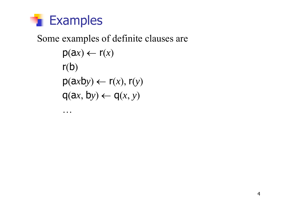

…

#### Some examples of definite clauses are  $p(ax) \leftarrow r(x)$  $r(b)$  $p(axby) \leftarrow r(x), r(y)$  $q(ax, by) \leftarrow q(x, y)$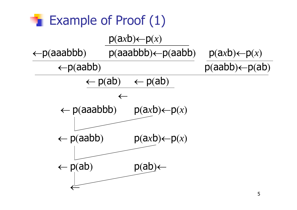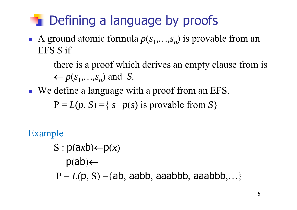## **The Defining a language by proofs**

A ground atomic formula  $p(s_1,...,s_n)$  is provable from an EFS *S* if

> there is a proof which derives an empty clause from is  $\leftarrow p(s_1, \ldots, s_n)$  and *S.*

We define a language with a proof from an EFS.

 $P = L(p, S) = \{ s \mid p(s) \text{ is provable from } S \}$ 

#### Example  $S: p(axb) \leftarrow p(x)$  $p(ab) \leftarrow$  $P = L(p, S) = {ab, aabb, aaabb, aaabbb, \ldots}$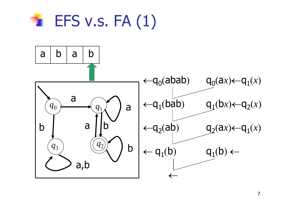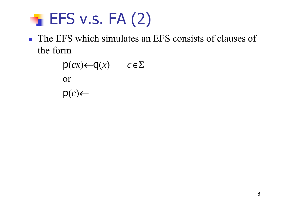## $\blacktriangleright$  EFS v.s. FA $(2)$

**The EFS which simulates an EFS consists of clauses of** the form

$$
p(cx) \leftarrow q(x) \qquad c \in \Sigma
$$
  
or  

$$
p(c) \leftarrow
$$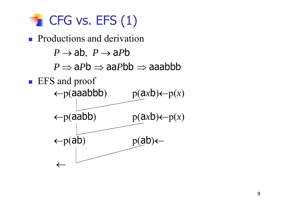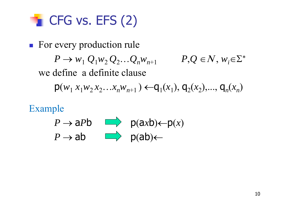

**For every production rule**  $P \to w_1 Q_1 w_2 Q_2 ... Q_n w_{n+1}$  *P<sub>r</sub>Q*  $\in$  *N*,  $w_i \in \Sigma^*$ we define a definite clause $p(w_1 x_1 w_2 x_2 ... x_n w_{n+1}) \leftarrow q_1(x_1), q_2(x_2), ..., q_n(x_n)$ 

Example

 $P \rightarrow aPb$   $\longrightarrow$   $p(axb) \leftarrow p(x)$  $P \rightarrow ab$  **D**  $p(ab) \leftarrow$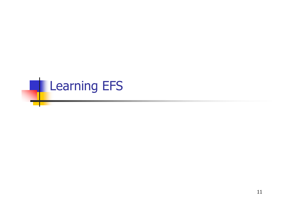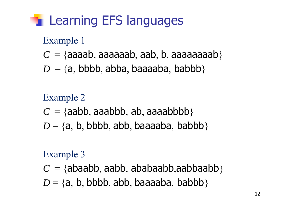## **Learning EFS languages**

#### Example 1

- $C = \{$ aaaab, aaaaaab, aab, b, aaaaaaaaab $\}$
- $D = \{a, bbbb, abba, baaaaba, babbb\}$

#### Example 2  $C = \{ \textsf{aabb}, \textsf{aaabbb}, \textsf{ab}, \textsf{aaaabbbb}\}$  $D = \{a, b, bbbb, abb, baaaaba, babbb\}$

#### Example 3

 $C=\{$ abaabb, aabb, ababaabb,aabbaabb $\}$  $D = \{a, b, bbbb, abb, baaaaba, babbb\}$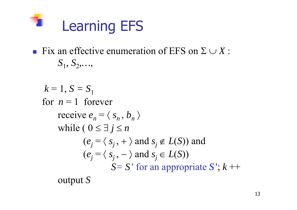

- Fix an effective enumeration of EFS on  $\Sigma \cup X$ :  $S_1, S_2, \ldots$ 
	- $k = 1, S = S_1$ for  $n = 1$  forever receive  $e_n = \langle s_n, b_n \rangle$ while (  $0 \le \exists j \le n$  $(e_i = \langle s_i, + \rangle \text{ and } s_i \notin L(S))$  and  $(e_i = \langle s_i, -\rangle \text{ and } s_j \in L(S))$ *S= S'* for an appropriate *S'*; *k* ++

output *S*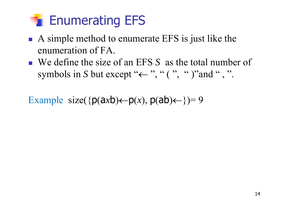

- A simple method to enumerate EFS is just like the enumeration of FA.
- We define the size of an EFS *S* as the total number of symbols in *S* but except " $\leftarrow$  ", " ( ", " )"and ", ".

Example size( $\{p(axb) \leftarrow p(x), p(ab) \leftarrow \} = 9$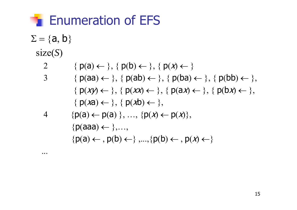

$$
\Sigma = \{a, b\}
$$
  
size(S)

 $\ddot{\bullet}$   $\ddot{\bullet}$ 

2  
\n{ 
$$
p(a) \leftarrow \}
$$
, {  $p(b) \leftarrow \}$ , {  $p(x) \leftarrow \}$   
\n3  
\n{  $p(aa) \leftarrow \}$ , {  $p(ab) \leftarrow \}$ , {  $p(ba) \leftarrow \}$ , {  $p(bb) \leftarrow \}$ ,  
\n{  $p(xy) \leftarrow \}$ , {  $p(xx) \leftarrow \}$ , {  $p(ax) \leftarrow \}$ , {  $p(bx) \leftarrow \}$ ,  
\n{  $p(xa) \leftarrow \}$ , {  $p(xb) \leftarrow \}$ ,  
\n{  $p(a) \leftarrow p(a) \}$ , ..., {  $p(x) \leftarrow p(x)$ ,

$$
\{p(aaa) \leftarrow \},...,
$$

$$
\{p(a) \leftarrow, p(b) \leftarrow \},..., \{p(b) \leftarrow, p(x) \leftarrow \}
$$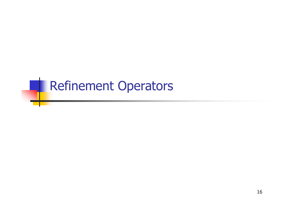## **Refinement Operators**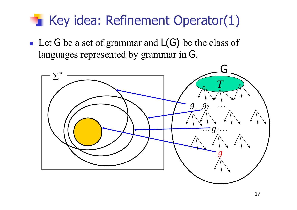## Key idea: Refinement Operator(1)

Let G be a set of grammar and  $L(G)$  be the class of languages represented by grammar in G.

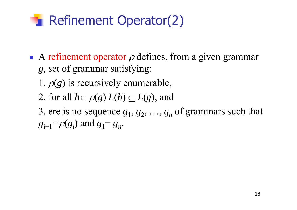#### **Refinement Operator(2)**

- A refinement operator  $\rho$  defines, from a given grammar *g,* set of grammar satisfying:
	- 1.  $\rho(g)$  is recursively enumerable,
	- 2. for all  $h \in \rho(g)$   $L(h) \subseteq L(g)$ , and
	- 3. ere is no sequence  $g_1, g_2, ..., g_n$  of grammars such that  $g_{i+1}$ = $\rho(g_i)$  and  $g_1$ =  $g_n$ .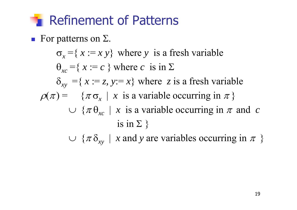#### **The Refinement of Patterns**

 $\blacksquare$  For patterns on  $\Sigma$ .

 $\sigma_x = \{ x := x \}$  where *y* is a fresh variable  $\Theta_{xc} = \{ x := c \}$  where *c* is in  $\Sigma$  $\delta_{xy}$  ={  $x := z$ ,  $y := x$ } where *z* is a fresh variable  $\rho(\pi) = \{\pi \sigma_{x} \mid x \text{ is a variable occurring in } \pi \}$  $\cup$  { $\pi \theta_{xc}$  | x is a variable occurring in  $\pi$  and c is in  $\Sigma$ }

 $\cup$  { $\pi \delta_{xy}$  | x and y are variables occurring in  $\pi$  }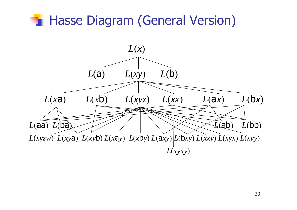#### **Hasse Diagram (General Version)** *L* (*x* ) *L* ( a ) *L* (*xy*)  $L(\mathsf{b})$ *L* (*x* <sup>a</sup>)  $L(x\mathbf{b})$ *L* (*xyz*) *L* (*xx*)  $L(ax)$  $L(bx)$ *L* (aa) *L* (ba) *L* (ab) *L* (bb )  $L(xyzw) L(xyz) L(xyz) L(xzy) L(xby) L(axy) L(bxy) L(xxy) L(xyx) L(xyy)$ *L* (*xyxy* )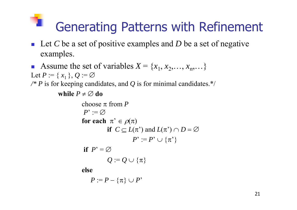# Generating Patterns with Refinement

- Let C be a set of positive examples and D be a set of negative examples.
- P. Assume the set of variables  $X = \{x_1, x_2, \ldots, x_n, \ldots\}$ Let  $P := \set{x_1}, Q := \varnothing$ */\* P* is for keeping candidates, and *Q* is for minimal candidates.\*/ **while**  $P \neq \varnothing$  do

```
choose fromPP^{\ast}:=\varnothingfor each \pi' \in \rho(\pi)if C \subseteq L(\pi^*) and L(\pi^*) \cap D = \varnothingP^{\ast}:=P^{\ast}\cup\{\pi^{\ast}\}if P' = \varnothingQ := Q \cup {\pi}
```
**else** 

$$
P:=P-\{\pi\}\cup P^*
$$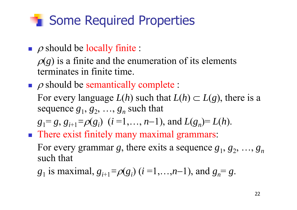## **T** Some Required Properties

 $\rho$  should be locally finite :

 $\rho(g)$  is a finite and the enumeration of its elements terminates in finite time.

 $\blacksquare$   $\rho$  should be semantically complete :

For every language  $L(h)$  such that  $L(h) \subset L(g)$ , there is a sequence  $g_1, g_2, ..., g_n$  such that

$$
g_1 = g, g_{i+1} = \rho(g_i)
$$
  $(i = 1, ..., n-1)$ , and  $L(g_n) = L(h)$ .

**There exist finitely many maximal grammars:** 

For every grammar g, there exits a sequence  $g_1, g_2, ..., g_n$ such that

*g*<sub>1</sub> is maximal,  $g_{i+1} = \rho(g_i)$  (*i* =1,…,*n*-1), and  $g_n = g$ .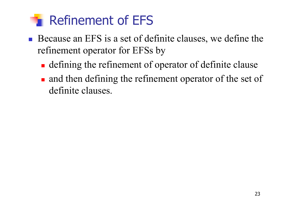#### Refinement of EFS

- Because an EFS is a set of definite clauses, we define the refinement operator for EFSs by
	- **defining the refinement of operator of definite clause**
	- and then defining the refinement operator of the set of definite clauses.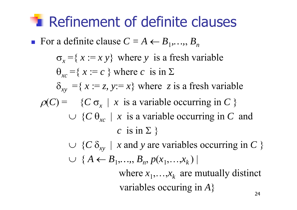## **Refinement of definite clauses**

**F** For a definite clause  $C = A \leftarrow B_1, \ldots, B_n$ 

 $\sigma_x = \{ x := x \, y \}$  where *y* is a fresh variable  $\Theta_{xc} = \{ x := c \}$  where *c* is in  $\Sigma$  $\delta_{xy}$  ={  $x := z$ ,  $y := x$ } where *z* is a fresh variable  $\rho(C) = \{C \sigma_x \mid x \text{ is a variable occurring in } C \}$  $\cup \{C \theta_{xc} \mid x \text{ is a variable occurring in } C \text{ and }$ *c* is in  $\Sigma$  }  $\cup \ \ \{C$  $\delta_{xy}$  | *x* and *y* are variables occurring in *C* } ○ { $A \leftarrow B_1, ..., B_n, p(x_1, ..., x_k)$ 

> where  $x_1, \ldots, x_k$  are mutually distinct variables occuring in *A*  $}$  24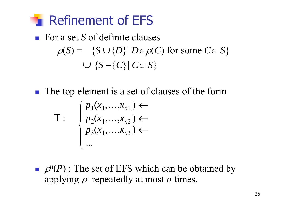

■ For a set *S* of definite clauses  
\n
$$
\rho(S) = \{S \cup \{D\} | D \in \rho(C) \text{ for some } C \in S\}
$$
\n
$$
\cup \{S - \{C\} | C \in S\}
$$

**The top element is a set of clauses of the form** 

$$
\mathsf{T}: \begin{cases} p_1(x_1,...,x_{n1}) \leftarrow \\ p_2(x_1,...,x_{n2}) \leftarrow \\ p_3(x_1,...,x_{n3}) \leftarrow \\ ... \end{cases}
$$

 $\rho^{n}(P)$ : The set of EFS which can be obtained by applying  $\rho$  repeatedly at most *n* times.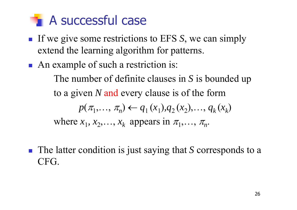### A successful case

- **If we give some restrictions to EFS S, we can simply** extend the learning algorithm for patterns.
- An example of such a restriction is:

The number of definite clauses in *S* is bounded up to a given *N* and every clause is of the form

$$
p(\pi_1, ..., \pi_n) \leftarrow q_1(x_1), q_2(x_2), ..., q_k(x_k)
$$

where  $x_1, x_2, \ldots, x_k$  appears in  $\pi_1, \ldots, \pi_n$ .

■ The latter condition is just saying that *S* corresponds to a CFG.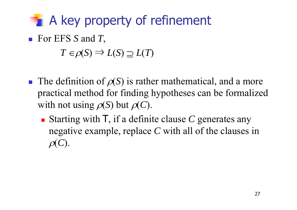## **A key property of refinement**

■ For EFS S and T,

 $T \in \rho(S) \Rightarrow L(S) \supseteq L(T)$ 

- **The definition of**  $\rho(S)$  **is rather mathematical, and a more** practical method for finding hypotheses can be formalized with not using  $\rho(S)$  but  $\rho(C)$ .
	- **Starting with T, if a definite clause C generates any** negative example, replace *C* with all of the clauses in  $\rho(C).$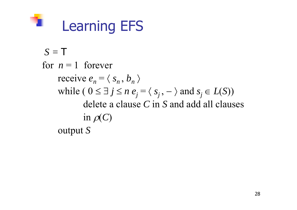

```
S = Tfor n = 1 forever
receive e_n = \langle s_n, b_n \ranglewhile ( 0 \le \exists j \le n e_j = \langle s_j, - \rangle and s_j \in L(S))
         delete a clause C in S and add all clauses 
        in \rho(C)output S
```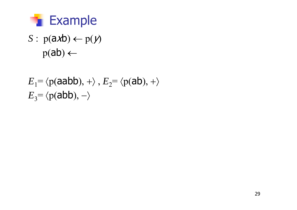

 $S: p(a \times b) \leftarrow p(y)$  $p(ab) \leftarrow$ 

$$
E_1 = \langle p(aabb), + \rangle, E_2 = \langle p(ab), + \rangle
$$
  

$$
E_3 = \langle p(abb), - \rangle
$$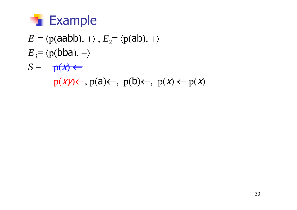

- $E_1$ =  $\langle p(aabb), + \rangle$ ,  $E_2$ =  $\langle p(ab), + \rangle$  $E_3$ = $\langle p(\text{bba}), -\rangle$
- $S = p(x) \leftarrow$ 
	- $p(xy) \leftarrow, p(a) \leftarrow, p(b) \leftarrow, p(x) \leftarrow p(x)$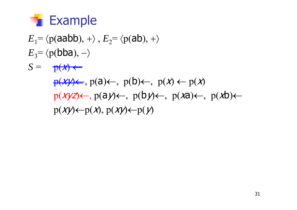

$$
E_1 = \langle p(aabb), + \rangle, E_2 = \langle p(ab), + \rangle
$$
  
\n
$$
E_3 = \langle p(bba), - \rangle
$$
  
\n
$$
S = p(x) \leftarrow
$$
  
\n
$$
p(xy) \leftarrow, p(a) \leftarrow, p(b) \leftarrow, p(x) \leftarrow p(x)
$$
  
\n
$$
p(xyz) \leftarrow, p(ay) \leftarrow, p(by) \leftarrow, p(xa) \leftarrow, p(xb) \leftarrow
$$
  
\n
$$
p(xy) \leftarrow p(x), p(xy) \leftarrow p(y)
$$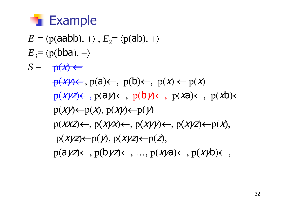

 $E_1$ =  $\langle p$ (aabb), + $\rangle$ ,  $E_2$ =  $\langle p$ (ab), + $\rangle$  $E_3$ = $\langle p(\text{bba}), -\rangle$  $S = p(x) \leftarrow$  $p(x) \leftrightarrow (a) \leftrightarrow (b) \leftrightarrow (b) \leftrightarrow (c) \leftrightarrow (c)$  $p(xyz)$ ,  $p(a)y$ ,  $p(b)y$ ,  $p(xa)$ ,  $p(xb)$  $p(XY) \leftarrow p(X), p(XY) \leftarrow p(Y)$  $p(XXZ) \leftarrow$ ,  $p(XYX) \leftarrow$ ,  $p(XYY) \leftarrow$ ,  $p(XYZ) \leftarrow p(X)$ ,  $p(Xyz) \leftarrow p(y), p(Xyz) \leftarrow p(z),$  $p(ayz) \leftarrow, p(byz) \leftarrow, ..., p(xya) \leftarrow, p(xyb) \leftarrow,$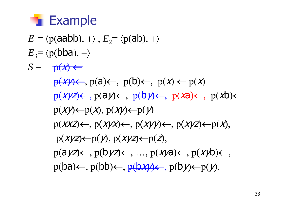

 $E_1$ =  $\langle p$ (aabb), + $\rangle$ ,  $E_2$ =  $\langle p$ (ab), + $\rangle$  $E_3$ = $\langle p(\text{bba}), -\rangle$  $S = p(x) \leftarrow$  $p(x) \leftarrow$ ,  $p(a) \leftarrow$ ,  $p(b) \leftarrow$ ,  $p(x) \leftarrow p(x)$  $p(xyz)$ ,  $p(a)y$ ,  $p(b)y$ ,  $p(xa)$ ,  $p(xb)$  $p(XY) \leftarrow p(X), p(XY) \leftarrow p(Y)$  $p(XXZ) \leftarrow$ ,  $p(XYX) \leftarrow$ ,  $p(XYY) \leftarrow$ ,  $p(XYZ) \leftarrow p(X)$ ,  $p(Xyz) \leftarrow p(y), p(Xyz) \leftarrow p(z),$  $p(ayz) \leftarrow, p(byz) \leftarrow, ..., p(xya) \leftarrow, p(xyb) \leftarrow,$  $p(ba) \leftarrow$ ,  $p(bb) \leftarrow$ ,  $p(bx) \leftarrow$ ,  $p(b) \leftarrow p(y)$ ,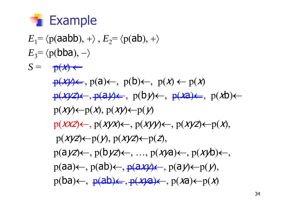

 $E_1$ =  $\langle p$ (aabb), + $\rangle$ ,  $E_2$ =  $\langle p$ (ab), + $\rangle$  $E_3$ =  $\langle p(\text{bba}), -\rangle$  $S = \frac{\theta(x)}{}$  $p(x) \leftrightarrow (a) \leftarrow$ ,  $p(b) \leftarrow$ ,  $p(x) \leftarrow p(x)$  $p(xyz) \leftarrow$ ,  $p(ayz) \leftarrow$ ,  $p(by) \leftarrow$ ,  $p(xa) \leftarrow$ ,  $p(xb) \leftarrow$  $p(XY) \leftarrow p(X), p(XY) \leftarrow p(Y)$  $p(XXZ) \leftarrow$ ,  $p(XYX) \leftarrow$ ,  $p(XYY) \leftarrow$ ,  $p(XYZ) \leftarrow p(X)$ ,  $p(Xyz) \leftarrow p(y), p(Xyz) \leftarrow p(z),$  $p(ayz) \leftarrow, p(byz) \leftarrow, ..., p(xya) \leftarrow, p(xyb) \leftarrow,$  $p(aa) \leftarrow, p(ab) \leftarrow, p(a \times y) \leftarrow, p(a \times y) \leftarrow p(y),$  $p(ba) \leftarrow$ ,  $p(ab) \leftarrow$ ,  $p(xa) \leftarrow$ ,  $p(xa) \leftarrow p(x)$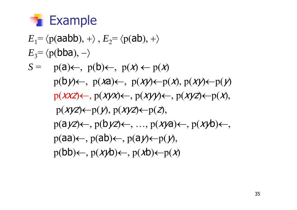

$$
E_1 = \langle p(aabb), + \rangle, E_2 = \langle p(ab), + \rangle
$$
  
\n
$$
E_3 = \langle p(bba), - \rangle
$$
  
\n
$$
S = p(a) \leftarrow, p(b) \leftarrow, p(x) \leftarrow p(x)
$$
  
\n
$$
p(by) \leftarrow, p(xa) \leftarrow, p(xy) \leftarrow p(x), p(xy) \leftarrow p(y)
$$
  
\n
$$
p(xxz) \leftarrow, p(xyx) \leftarrow, p(xyy) \leftarrow, p(xyz) \leftarrow p(x),
$$
  
\n
$$
p(xyz) \leftarrow p(y), p(xyz) \leftarrow p(z),
$$
  
\n
$$
p(ayz) \leftarrow, p(byz) \leftarrow, ..., p(xya) \leftarrow, p(xyb) \leftarrow,
$$
  
\n
$$
p(aa) \leftarrow, p(ab) \leftarrow, p(a) \leftarrow p(y),
$$
  
\n
$$
p(bb) \leftarrow, p(xyb) \leftarrow, p(xb) \leftarrow p(x)
$$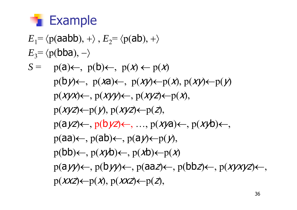

$$
E_1 = \langle p(aabb), + \rangle, E_2 = \langle p(ab), + \rangle
$$
  
\n
$$
E_3 = \langle p(bba), - \rangle
$$
  
\n
$$
S = p(a) \leftarrow, p(b) \leftarrow, p(x) \leftarrow p(x)
$$
  
\n
$$
p(b) \leftarrow, p(xa) \leftarrow, p(xy) \leftarrow p(x), p(xy) \leftarrow p(y)
$$
  
\n
$$
p(xyx) \leftarrow, p(xyy) \leftarrow, p(xyz) \leftarrow p(x),
$$
  
\n
$$
p(xyz) \leftarrow p(y), p(xyz) \leftarrow p(z),
$$
  
\n
$$
p(ayz) \leftarrow, p(byz) \leftarrow, ..., p(xya) \leftarrow, p(xyb) \leftarrow,
$$
  
\n
$$
p(aa) \leftarrow, p(ab) \leftarrow, p(a) \leftarrow p(y),
$$
  
\n
$$
p(bb) \leftarrow, p(xyb) \leftarrow, p(ab) \leftarrow p(x)
$$
  
\n
$$
p(ayy) \leftarrow, p(byy) \leftarrow, p(aaz) \leftarrow, p(bbz) \leftarrow, p(xyxyz) \leftarrow,
$$
  
\n
$$
p(xxz) \leftarrow p(x), p(xxz) \leftarrow p(z),
$$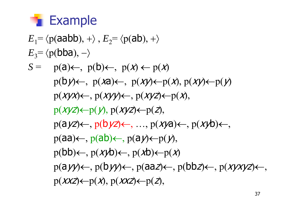

$$
E_1 = \langle p(aabb), + \rangle, E_2 = \langle p(ab), + \rangle
$$
  
\n
$$
E_3 = \langle p(bba), - \rangle
$$
  
\n
$$
S = p(a) \leftarrow, p(b) \leftarrow, p(x) \leftarrow, p(x) \leftarrow p(x), p(xy) \leftarrow p(y)
$$
  
\n
$$
p(xy) \leftarrow, p(xy) \leftarrow, p(xy) \leftarrow p(x), p(xy) \leftarrow p(x), p(xy) \leftarrow p(x) \leftarrow p(x) \leftarrow p(x) \leftarrow p(x) \leftarrow p(x) \leftarrow p(x) \leftarrow p(x) \leftarrow p(x) \leftarrow p(x) \leftarrow p(x) \leftarrow p(x) \leftarrow p(x) \leftarrow p(x) \leftarrow p(x) \leftarrow p(x) \leftarrow p(x) \leftarrow p(x) \leftarrow p(x) \leftarrow p(x) \leftarrow p(x) \leftarrow p(x) \leftarrow p(x) \leftarrow p(x) \leftarrow p(x) \leftarrow p(x) \leftarrow p(x) \leftarrow p(x) \leftarrow p(x) \leftarrow p(x) \leftarrow p(x) \leftarrow p(x) \leftarrow p(x) \leftarrow p(x) \leftarrow p(x) \leftarrow p(x) \leftarrow p(x) \leftarrow p(x) \leftarrow p(x) \leftarrow p(x) \leftarrow p(x) \leftarrow p(x) \leftarrow p(x) \leftarrow p(x) \leftarrow p(x) \leftarrow p(x) \leftarrow p(x) \leftarrow p(x) \leftarrow p(x) \leftarrow p(x) \leftarrow p(x) \leftarrow p(x) \leftarrow p(x) \leftarrow p(x) \leftarrow p(x) \leftarrow p(x) \leftarrow p(x) \leftarrow p(x) \leftarrow p(x) \leftarrow p(x) \leftarrow p(x) \leftarrow p(x) \leftarrow p(x) \leftarrow p(x) \leftarrow p(x) \leftarrow p(x) \leftarrow p(x) \leftarrow p(x) \leftarrow p(x) \leftarrow p(x) \leftarrow p(x) \leftarrow p(x) \leftarrow p(x) \leftarrow p(x) \leftarrow p(x) \leftarrow p(x) \leftarrow p(x) \leftarrow p(x) \leftarrow p(x) \leftarrow p(x) \leftarrow p(x) \leftarrow p(x) \leftarrow p(x) \leftarrow p(x) \leftarrow p(x) \leftarrow p(x) \leftarrow p(x) \leftarrow p(x) \leftarrow p(x) \leftarrow p(x) \leftarrow p(x) \leftarrow p(x) \leftarrow p(x) \leftarrow p(x) \leftarrow p(x) \leftarrow p(x) \leftarrow p(x) \leftarrow p(x) \leftarrow p(x) \leftarrow p(x) \leftarrow p(x) \leftarrow p(x) \leftarrow
$$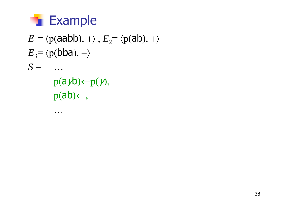

…

```
E_1= \langle p(aabb), + \rangle, E_2= \langle p(ab), + \rangleE_3= \langle p(\text{bba}), -\rangleS = …
     p(ayb) \leftarrow p(y),p(ab) \leftarrow,
```